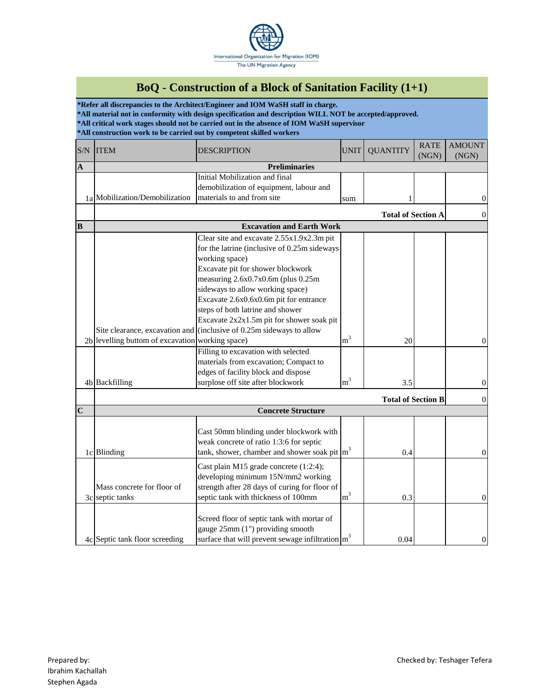

## **BoQ - Construction of a Block of Sanitation Facility (1+1)**

**\*Refer all discrepancies to the Architect/Engineer and IOM WaSH staff in charge. \*All material not in conformity with design specification and description WILL NOT be accepted/approved. \*All critical work stages should not be carried out in the absence of IOM WaSH supervisor \*All construction work to be carried out by competent skilled workers**

| S/N         | <b>ITEM</b>                                                        | <b>DESCRIPTION</b>                                                                                                                                                                                                                                                                                                                                                                                                                                                                                                                                                                        | <b>UNIT</b>             | <b>QUANTITY</b>           | <b>RATE</b><br>(NGN) | <b>AMOUNT</b><br>(NGN) |
|-------------|--------------------------------------------------------------------|-------------------------------------------------------------------------------------------------------------------------------------------------------------------------------------------------------------------------------------------------------------------------------------------------------------------------------------------------------------------------------------------------------------------------------------------------------------------------------------------------------------------------------------------------------------------------------------------|-------------------------|---------------------------|----------------------|------------------------|
| $\mathbf A$ | <b>Preliminaries</b>                                               |                                                                                                                                                                                                                                                                                                                                                                                                                                                                                                                                                                                           |                         |                           |                      |                        |
|             | 1a Mobilization/Demobilization                                     | Initial Mobilization and final<br>demobilization of equipment, labour and<br>materials to and from site                                                                                                                                                                                                                                                                                                                                                                                                                                                                                   | sum                     |                           |                      | $\boldsymbol{0}$       |
|             |                                                                    |                                                                                                                                                                                                                                                                                                                                                                                                                                                                                                                                                                                           |                         | <b>Total of Section A</b> |                      | $\boldsymbol{0}$       |
| B           | <b>Excavation and Earth Work</b>                                   |                                                                                                                                                                                                                                                                                                                                                                                                                                                                                                                                                                                           |                         |                           |                      |                        |
|             | 2b levelling buttom of excavation working space)<br>4b Backfilling | Clear site and excavate 2.55x1.9x2.3m pit<br>for the latrine (inclusive of 0.25m sideways<br>working space)<br>Excavate pit for shower blockwork<br>measuring 2.6x0.7x0.6m (plus 0.25m<br>sideways to allow working space)<br>Excavate 2.6x0.6x0.6m pit for entrance<br>steps of both latrine and shower<br>Excavate 2x2x1.5m pit for shower soak pit<br>Site clearance, excavation and (inclusive of 0.25m sideways to allow<br>Filling to excavation with selected<br>materials from excavation; Compact to<br>edges of facility block and dispose<br>surplose off site after blockwork | m <sup>3</sup><br>$m^3$ | 20<br>3.5                 |                      | $\theta$<br>$\theta$   |
|             | <b>Total of Section B</b>                                          |                                                                                                                                                                                                                                                                                                                                                                                                                                                                                                                                                                                           |                         | $\overline{0}$            |                      |                        |
| $\mathbf C$ | <b>Concrete Structure</b>                                          |                                                                                                                                                                                                                                                                                                                                                                                                                                                                                                                                                                                           |                         |                           |                      |                        |
|             | 1c Blinding                                                        | Cast 50mm blinding under blockwork with<br>weak concrete of ratio 1:3:6 for septic<br>tank, shower, chamber and shower soak pit $\left  \text{m}^3 \right $                                                                                                                                                                                                                                                                                                                                                                                                                               |                         | 0.4                       |                      | $\boldsymbol{0}$       |
|             | Mass concrete for floor of<br>3c septic tanks                      | Cast plain M15 grade concrete (1:2:4);<br>developing minimum 15N/mm2 working<br>strength after 28 days of curing for floor of<br>septic tank with thickness of 100mm                                                                                                                                                                                                                                                                                                                                                                                                                      | m <sup>3</sup>          | 0.3                       |                      | $\overline{0}$         |
|             | 4c Septic tank floor screeding                                     | Screed floor of septic tank with mortar of<br>gauge 25mm (1") providing smooth<br>surface that will prevent sewage infiltration $\left  \text{m}^3 \right $                                                                                                                                                                                                                                                                                                                                                                                                                               |                         | 0.04                      |                      | $\mathbf{0}$           |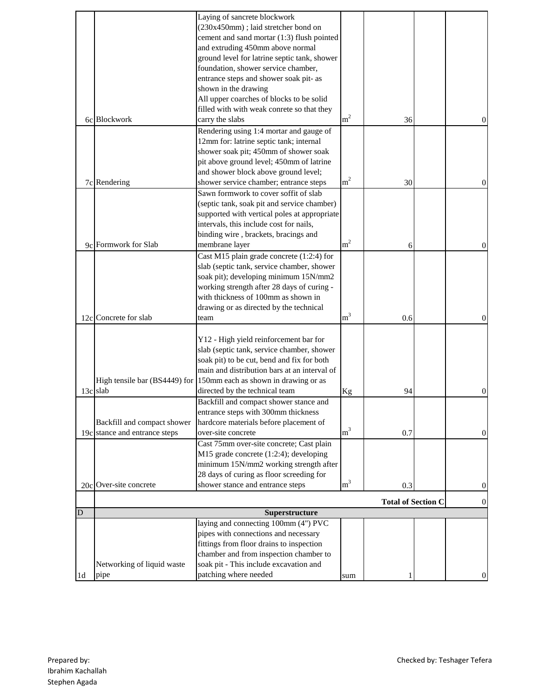|                |                               | Laying of sancrete blockwork                                       |                |                           |                  |
|----------------|-------------------------------|--------------------------------------------------------------------|----------------|---------------------------|------------------|
|                |                               | (230x450mm); laid stretcher bond on                                |                |                           |                  |
|                |                               |                                                                    |                |                           |                  |
|                |                               | cement and sand mortar (1:3) flush pointed                         |                |                           |                  |
|                |                               | and extruding 450mm above normal                                   |                |                           |                  |
|                |                               | ground level for latrine septic tank, shower                       |                |                           |                  |
|                |                               | foundation, shower service chamber,                                |                |                           |                  |
|                |                               | entrance steps and shower soak pit- as                             |                |                           |                  |
|                |                               | shown in the drawing                                               |                |                           |                  |
|                |                               | All upper coarches of blocks to be solid                           |                |                           |                  |
|                |                               | filled with with weak conrete so that they                         |                |                           |                  |
|                | 6c Blockwork                  | carry the slabs                                                    | m <sup>2</sup> | 36                        | $\mathbf{0}$     |
|                |                               | Rendering using 1:4 mortar and gauge of                            |                |                           |                  |
|                |                               | 12mm for: latrine septic tank; internal                            |                |                           |                  |
|                |                               | shower soak pit; 450mm of shower soak                              |                |                           |                  |
|                |                               | pit above ground level; 450mm of latrine                           |                |                           |                  |
|                |                               | and shower block above ground level;                               |                |                           |                  |
|                | 7c Rendering                  | shower service chamber; entrance steps                             | m <sup>2</sup> | 30                        | $\mathbf{0}$     |
|                |                               | Sawn formwork to cover soffit of slab                              |                |                           |                  |
|                |                               | (septic tank, soak pit and service chamber)                        |                |                           |                  |
|                |                               | supported with vertical poles at appropriate                       |                |                           |                  |
|                |                               | intervals, this include cost for nails,                            |                |                           |                  |
|                |                               | binding wire, brackets, bracings and                               |                |                           |                  |
|                | 9c Formwork for Slab          | membrane layer                                                     | m <sup>2</sup> | 6                         | $\Omega$         |
|                |                               | Cast M15 plain grade concrete (1:2:4) for                          |                |                           |                  |
|                |                               | slab (septic tank, service chamber, shower                         |                |                           |                  |
|                |                               | soak pit); developing minimum 15N/mm2                              |                |                           |                  |
|                |                               | working strength after 28 days of curing -                         |                |                           |                  |
|                |                               |                                                                    |                |                           |                  |
|                |                               | with thickness of 100mm as shown in                                |                |                           |                  |
|                |                               | drawing or as directed by the technical                            | m <sup>3</sup> |                           |                  |
|                | 12c Concrete for slab         | team                                                               |                | 0.6                       | $\Omega$         |
|                |                               |                                                                    |                |                           |                  |
|                |                               | Y12 - High yield reinforcement bar for                             |                |                           |                  |
|                |                               | slab (septic tank, service chamber, shower                         |                |                           |                  |
|                |                               | soak pit) to be cut, bend and fix for both                         |                |                           |                  |
|                |                               | main and distribution bars at an interval of                       |                |                           |                  |
|                |                               | High tensile bar (BS4449) for 150mm each as shown in drawing or as |                |                           |                  |
|                | 13c slab                      | directed by the technical team                                     | Kg             | 94                        | $\overline{0}$   |
|                |                               | Backfill and compact shower stance and                             |                |                           |                  |
|                |                               | entrance steps with 300mm thickness                                |                |                           |                  |
|                | Backfill and compact shower   | hardcore materials before placement of                             |                |                           |                  |
|                | 19c stance and entrance steps | over-site concrete                                                 | m <sup>3</sup> | 0.7                       | $\mathbf{0}$     |
|                |                               | Cast 75mm over-site concrete; Cast plain                           |                |                           |                  |
|                |                               | M15 grade concrete (1:2:4); developing                             |                |                           |                  |
|                |                               | minimum 15N/mm2 working strength after                             |                |                           |                  |
|                |                               | 28 days of curing as floor screeding for                           |                |                           |                  |
|                | 20c Over-site concrete        | shower stance and entrance steps                                   | m <sup>3</sup> | 0.3                       | $\mathbf{0}$     |
|                |                               |                                                                    |                |                           |                  |
|                |                               |                                                                    |                | <b>Total of Section C</b> | $\boldsymbol{0}$ |
| D              |                               | Superstructure                                                     |                |                           |                  |
|                |                               | laying and connecting 100mm (4") PVC                               |                |                           |                  |
|                |                               | pipes with connections and necessary                               |                |                           |                  |
|                |                               | fittings from floor drains to inspection                           |                |                           |                  |
|                |                               | chamber and from inspection chamber to                             |                |                           |                  |
|                | Networking of liquid waste    | soak pit - This include excavation and                             |                |                           |                  |
| 1 <sub>d</sub> | pipe                          | patching where needed                                              | sum            |                           | $\overline{0}$   |